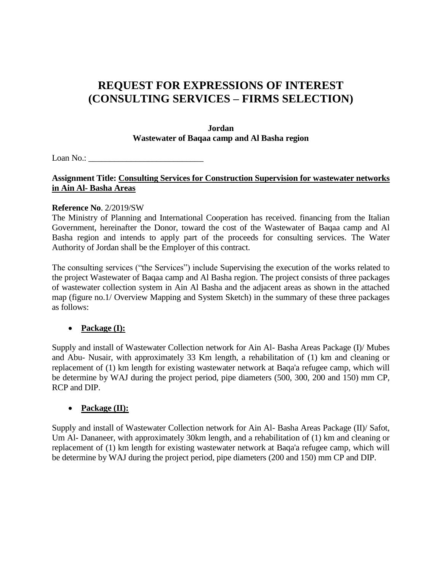# **REQUEST FOR EXPRESSIONS OF INTEREST (CONSULTING SERVICES – FIRMS SELECTION)**

#### **Jordan Wastewater of Baqaa camp and Al Basha region**

Loan  $No.$ :

## **Assignment Title: Consulting Services for Construction Supervision for wastewater networks in Ain Al- Basha Areas**

#### **Reference No**. 2/2019/SW

The Ministry of Planning and International Cooperation has received. financing from the Italian Government, hereinafter the Donor, toward the cost of the Wastewater of Baqaa camp and Al Basha region and intends to apply part of the proceeds for consulting services. The Water Authority of Jordan shall be the Employer of this contract.

The consulting services ("the Services") include Supervising the execution of the works related to the project Wastewater of Baqaa camp and Al Basha region. The project consists of three packages of wastewater collection system in Ain Al Basha and the adjacent areas as shown in the attached map (figure no.1/ Overview Mapping and System Sketch) in the summary of these three packages as follows:

## **Package (I):**

Supply and install of Wastewater Collection network for Ain Al- Basha Areas Package (I)/ Mubes and Abu- Nusair, with approximately 33 Km length, a rehabilitation of (1) km and cleaning or replacement of (1) km length for existing wastewater network at Baqa'a refugee camp, which will be determine by WAJ during the project period, pipe diameters (500, 300, 200 and 150) mm CP, RCP and DIP.

## **Package (II):**

Supply and install of Wastewater Collection network for Ain Al- Basha Areas Package (II)/ Safot, Um Al- Dananeer, with approximately 30km length, and a rehabilitation of (1) km and cleaning or replacement of (1) km length for existing wastewater network at Baqa'a refugee camp, which will be determine by WAJ during the project period, pipe diameters (200 and 150) mm CP and DIP.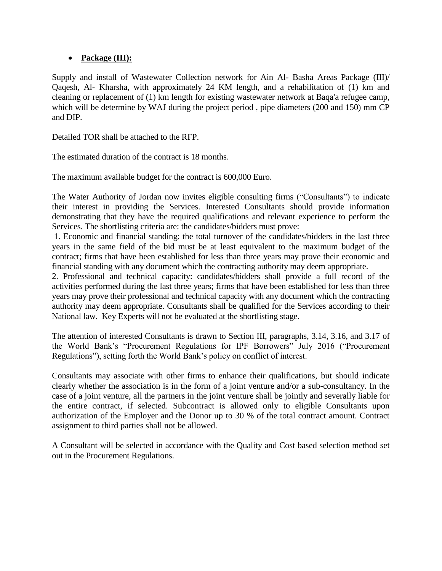## **Package (III):**

Supply and install of Wastewater Collection network for Ain Al- Basha Areas Package (III)/ Qaqesh, Al- Kharsha, with approximately 24 KM length, and a rehabilitation of (1) km and cleaning or replacement of (1) km length for existing wastewater network at Baqa'a refugee camp, which will be determine by WAJ during the project period , pipe diameters (200 and 150) mm CP and DIP.

Detailed TOR shall be attached to the RFP.

The estimated duration of the contract is 18 months.

The maximum available budget for the contract is 600,000 Euro.

The Water Authority of Jordan now invites eligible consulting firms ("Consultants") to indicate their interest in providing the Services. Interested Consultants should provide information demonstrating that they have the required qualifications and relevant experience to perform the Services. The shortlisting criteria are: the candidates/bidders must prove:

1. Economic and financial standing: the total turnover of the candidates/bidders in the last three years in the same field of the bid must be at least equivalent to the maximum budget of the contract; firms that have been established for less than three years may prove their economic and financial standing with any document which the contracting authority may deem appropriate.

2. Professional and technical capacity: candidates/bidders shall provide a full record of the activities performed during the last three years; firms that have been established for less than three years may prove their professional and technical capacity with any document which the contracting authority may deem appropriate. Consultants shall be qualified for the Services according to their National law. Key Experts will not be evaluated at the shortlisting stage.

The attention of interested Consultants is drawn to Section III, paragraphs, 3.14, 3.16, and 3.17 of the World Bank's "Procurement Regulations for IPF Borrowers" July 2016 ("Procurement Regulations"), setting forth the World Bank's policy on conflict of interest.

Consultants may associate with other firms to enhance their qualifications, but should indicate clearly whether the association is in the form of a joint venture and/or a sub-consultancy. In the case of a joint venture, all the partners in the joint venture shall be jointly and severally liable for the entire contract, if selected. Subcontract is allowed only to eligible Consultants upon authorization of the Employer and the Donor up to 30 % of the total contract amount. Contract assignment to third parties shall not be allowed.

A Consultant will be selected in accordance with the Quality and Cost based selection method set out in the Procurement Regulations.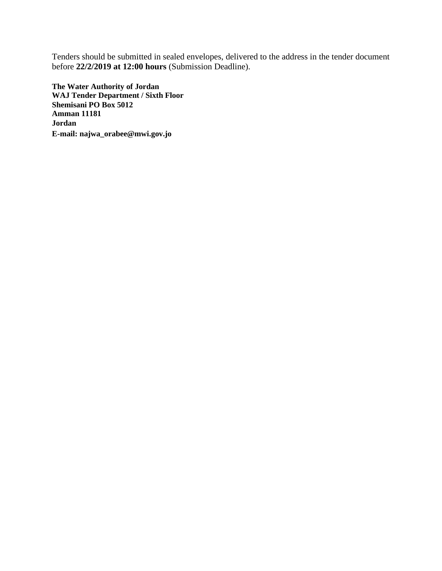Tenders should be submitted in sealed envelopes, delivered to the address in the tender document before **22/2/2019 at 12:00 hours** (Submission Deadline).

**The Water Authority of Jordan WAJ Tender Department / Sixth Floor Shemisani PO Box 5012 Amman 11181 Jordan E-mail: [najwa\\_orabee@mwi.gov.jo](mailto:najwa_orabee@mwi.gov.jo)**